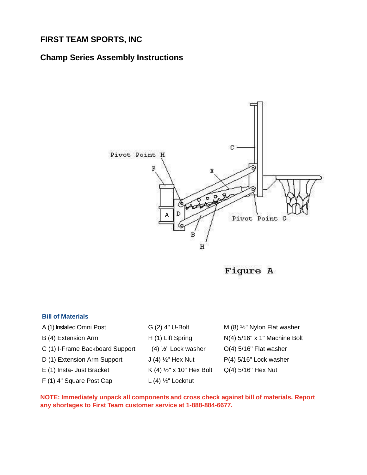# **FIRST TEAM SPORTS, INC**

# **Champ Series Assembly Instructions**



Figure A

#### **Bill of Materials**

- 
- 
- C (1) I-Frame Backboard Support I (4) <sup>1</sup>/<sub>2</sub>" Lock washer O(4) 5/16" Flat washer
- D (1) Extension Arm Support J (4) <sup>1</sup>/<sub>2</sub>" Hex Nut P(4) 5/16" Lock washer
- 
- F (1) 4" Square Post Cap  $L(4)$   $\frac{1}{2}$ " Locknut
- A (1) Installed Omni Post G (2) 4" U-Bolt M (8) <sup>1/2</sup>" Nylon Flat washer B (4) Extension Arm H (1) Lift Spring N(4) 5/16" x 1" Machine Bolt E (1) Insta- Just Bracket  $K$  (4)  $\frac{1}{2}$ " x 10" Hex Bolt Q(4) 5/16" Hex Nut
	-
	-
	-
	-
	-

**NOTE: Immediately unpack all components and cross check against bill of materials. Report any shortages to First Team customer service at 1-888-884-6677.**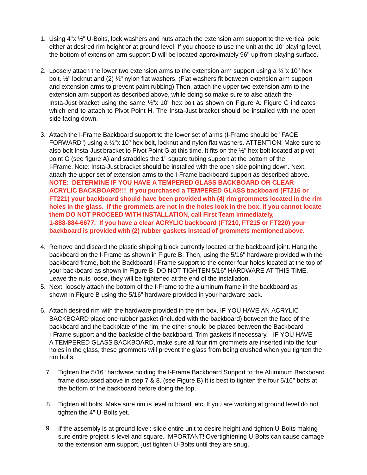- 1. Using 4"x ½" U-Bolts, lock washers and nuts attach the extension arm support to the vertical pole either at desired rim height or at ground level. If you choose to use the unit at the 10' playing level, the bottom of extension arm support D will be located approximately 96" up from playing surface.
- 2. Loosely attach the lower two extension arms to the extension arm support using a  $\frac{1}{2}$ "x 10" hex bolt, ½" locknut and (2) ½" nylon flat washers. (Flat washers fit between extension arm support and extension arms to prevent paint rubbing) Then, attach the upper two extension arm to the extension arm support as described above, while doing so make sure to also attach the Insta-Just bracket using the same ½"x 10" hex bolt as shown on Figure A. Figure C indicates which end to attach to Pivot Point H. The Insta-Just bracket should be installed with the open side facing down.
- 3. Attach the I-Frame Backboard support to the lower set of arms (I-Frame should be "FACE FORWARD") using a ½"x 10" hex bolt, locknut and nylon flat washers. ATTENTION: Make sure to also bolt Insta-Just bracket to Pivot Point G at this time. It fits on the ½" hex bolt located at pivot point G (see figure A) and straddles the 1" square tubing support at the bottom of the I-Frame. Note: Insta-Just bracket should be installed with the open side pointing down. Next, attach the upper set of extension arms to the I-Frame backboard support as described above. **NOTE: DETERMINE IF YOU HAVE A TEMPERED GLASS BACKBOARD OR CLEAR ACRYLIC BACKBOARD!!! If you purchased a TEMPERED GLASS backboard (FT216 or FT221) your backboard should have been provided with (4) rim grommets located in the rim holes in the glass. If the grommets are not in the holes look in the box, if you cannot locate them DO NOT PROCEED WITH INSTALLATION, call First Team immediately, 1-888-884-6677. If you have a clear ACRYLIC backboard (FT210, FT215 or FT220) your backboard is provided with (2) rubber gaskets instead of grommets mentioned above.**
- 4. Remove and discard the plastic shipping block currently located at the backboard joint. Hang the backboard on the I-Frame as shown in Figure B. Then, using the 5/16" hardware provided with the backboard frame, bolt the Backboard I-Frame support to the center four holes located at the top of your backboard as shown in Figure B. DO NOT TIGHTEN 5/16" HARDWARE AT THIS TIME. Leave the nuts loose, they will be tightened at the end of the installation.
- 5. Next, loosely attach the bottom of the I-Frame to the aluminum frame in the backboard as shown in Figure B using the 5/16" hardware provided in your hardware pack.
- 6. Attach desired rim with the hardware provided in the rim box. IF YOU HAVE AN ACRYLIC BACKBOARD place one rubber gasket (included with the backboard) between the face of the backboard and the backplate of the rim, the other should be placed between the Backboard I-Frame support and the backside of the backboard. Trim gaskets if necessary. IF YOU HAVE A TEMPERED GLASS BACKBOARD, make sure all four rim grommets are inserted into the four holes in the glass, these grommets will prevent the glass from being crushed when you tighten the rim bolts.
	- 7. Tighten the 5/16" hardware holding the I-Frame Backboard Support to the Aluminum Backboard frame discussed above in step 7 & 8. (see Figure B) It is best to tighten the four 5/16" bolts at the bottom of the backboard before doing the top.
	- 8. Tighten all bolts. Make sure rim is level to board, etc. If you are working at ground level do not tighten the 4" U-Bolts yet.
	- 9. If the assembly is at ground level: slide entire unit to desire height and tighten U-Bolts making sure entire project is level and square. IMPORTANT! Overtightening U-Bolts can cause damage to the extension arm support, just tighten U-Bolts until they are snug.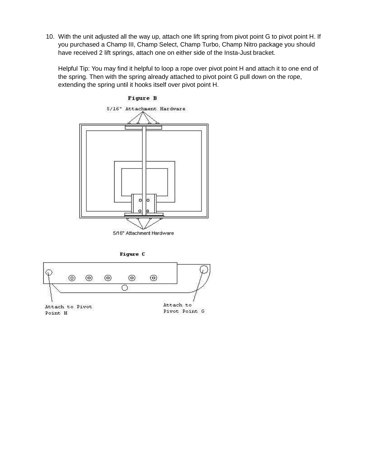10. With the unit adjusted all the way up, attach one lift spring from pivot point G to pivot point H. If you purchased a Champ III, Champ Select, Champ Turbo, Champ Nitro package you should have received 2 lift springs, attach one on either side of the Insta-Just bracket.

Helpful Tip: You may find it helpful to loop a rope over pivot point H and attach it to one end of the spring. Then with the spring already attached to pivot point G pull down on the rope, extending the spring until it hooks itself over pivot point H.



**Figure C**